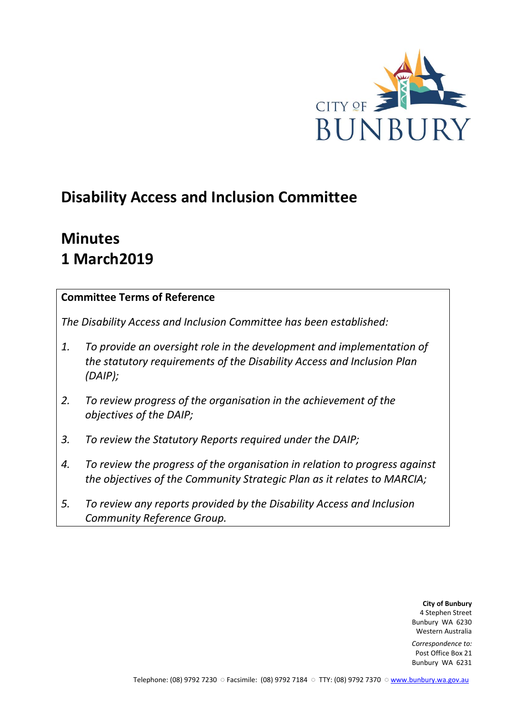

# **Disability Access and Inclusion Committee**

# **Minutes 1 March2019**

### **Committee Terms of Reference**

*The Disability Access and Inclusion Committee has been established:* 

- *1. To provide an oversight role in the development and implementation of the statutory requirements of the Disability Access and Inclusion Plan (DAIP);*
- *2. To review progress of the organisation in the achievement of the objectives of the DAIP;*
- *3. To review the Statutory Reports required under the DAIP;*
- *4. To review the progress of the organisation in relation to progress against the objectives of the Community Strategic Plan as it relates to MARCIA;*
- *5. To review any reports provided by the Disability Access and Inclusion Community Reference Group.*

**City of Bunbury** 4 Stephen Street Bunbury WA 6230 Western Australia

*Correspondence to:* Post Office Box 21 Bunbury WA 6231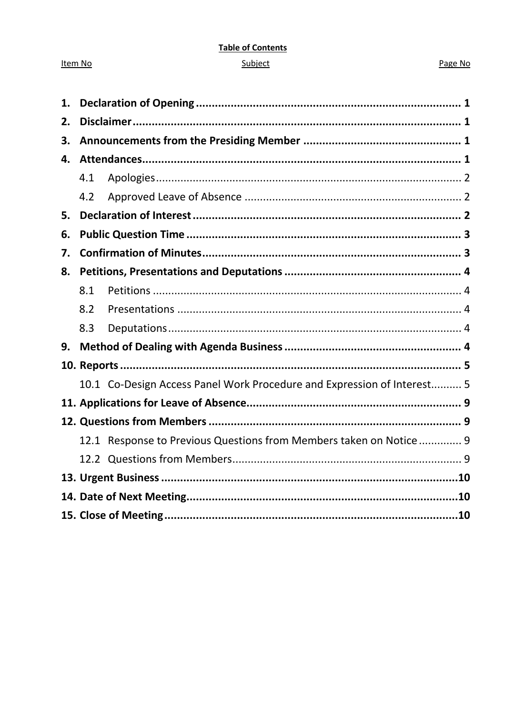#### **Table of Contents**

#### Subject

#### Page No

| 1. |     |                                                                         |  |
|----|-----|-------------------------------------------------------------------------|--|
| 2. |     |                                                                         |  |
| 3. |     |                                                                         |  |
| 4. |     |                                                                         |  |
|    | 4.1 |                                                                         |  |
|    | 4.2 |                                                                         |  |
| 5. |     |                                                                         |  |
| 6. |     |                                                                         |  |
| 7. |     |                                                                         |  |
| 8. |     |                                                                         |  |
|    | 8.1 |                                                                         |  |
|    | 8.2 |                                                                         |  |
|    | 8.3 |                                                                         |  |
| 9. |     |                                                                         |  |
|    |     |                                                                         |  |
|    |     | 10.1 Co-Design Access Panel Work Procedure and Expression of Interest 5 |  |
|    |     |                                                                         |  |
|    |     |                                                                         |  |
|    |     | 12.1 Response to Previous Questions from Members taken on Notice 9      |  |
|    |     |                                                                         |  |
|    |     |                                                                         |  |
|    |     |                                                                         |  |
|    |     |                                                                         |  |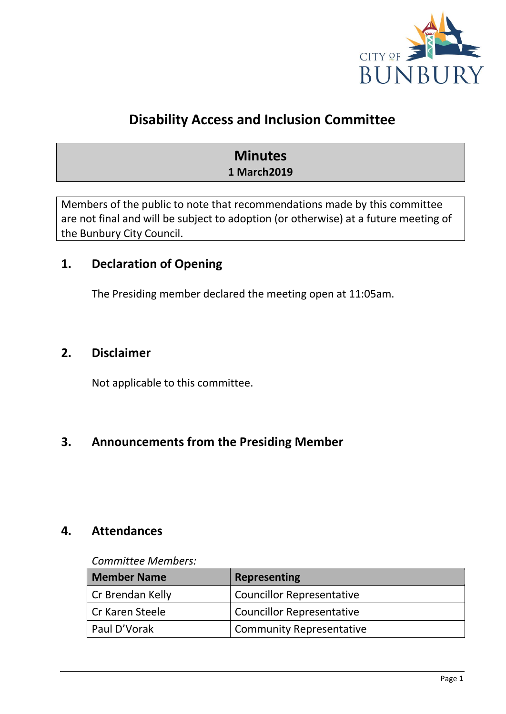

# **Disability Access and Inclusion Committee**

# **Minutes 1 March2019**

Members of the public to note that recommendations made by this committee are not final and will be subject to adoption (or otherwise) at a future meeting of the Bunbury City Council.

# <span id="page-2-0"></span>**1. Declaration of Opening**

The Presiding member declared the meeting open at 11:05am.

# <span id="page-2-1"></span>**2. Disclaimer**

Not applicable to this committee.

# <span id="page-2-2"></span>**3. Announcements from the Presiding Member**

# <span id="page-2-3"></span>**4. Attendances**

#### *Committee Members:*

| <b>Member Name</b> | <b>Representing</b>              |
|--------------------|----------------------------------|
| Cr Brendan Kelly   | <b>Councillor Representative</b> |
| Cr Karen Steele    | <b>Councillor Representative</b> |
| Paul D'Vorak       | <b>Community Representative</b>  |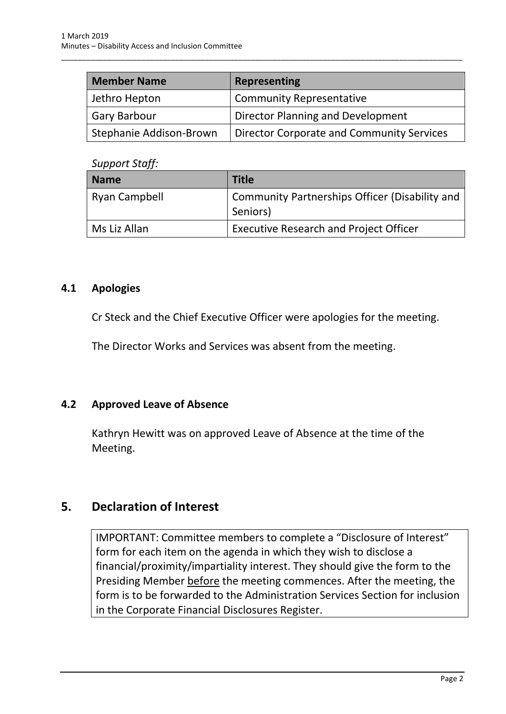| <b>Member Name</b>      | Representing                              |
|-------------------------|-------------------------------------------|
| Jethro Hepton           | <b>Community Representative</b>           |
| <b>Gary Barbour</b>     | Director Planning and Development         |
| Stephanie Addison-Brown | Director Corporate and Community Services |

\_\_\_\_\_\_\_\_\_\_\_\_\_\_\_\_\_\_\_\_\_\_\_\_\_\_\_\_\_\_\_\_\_\_\_\_\_\_\_\_\_\_\_\_\_\_\_\_\_\_\_\_\_\_\_\_\_\_\_\_\_\_\_\_\_\_\_\_\_\_\_\_\_\_\_\_\_\_\_\_\_\_\_\_\_\_\_\_\_\_\_\_\_\_\_

#### *Support Staff:*

| <b>Name</b>          | <b>Title</b>                                               |
|----------------------|------------------------------------------------------------|
| <b>Ryan Campbell</b> | Community Partnerships Officer (Disability and<br>Seniors) |
| Ms Liz Allan         | <b>Executive Research and Project Officer</b>              |

#### <span id="page-3-0"></span>**4.1 Apologies**

Cr Steck and the Chief Executive Officer were apologies for the meeting.

The Director Works and Services was absent from the meeting.

### <span id="page-3-1"></span>**4.2 Approved Leave of Absence**

Kathryn Hewitt was on approved Leave of Absence at the time of the Meeting.

# <span id="page-3-2"></span>**5. Declaration of Interest**

IMPORTANT: Committee members to complete a "Disclosure of Interest" form for each item on the agenda in which they wish to disclose a financial/proximity/impartiality interest. They should give the form to the Presiding Member before the meeting commences. After the meeting, the form is to be forwarded to the Administration Services Section for inclusion in the Corporate Financial Disclosures Register.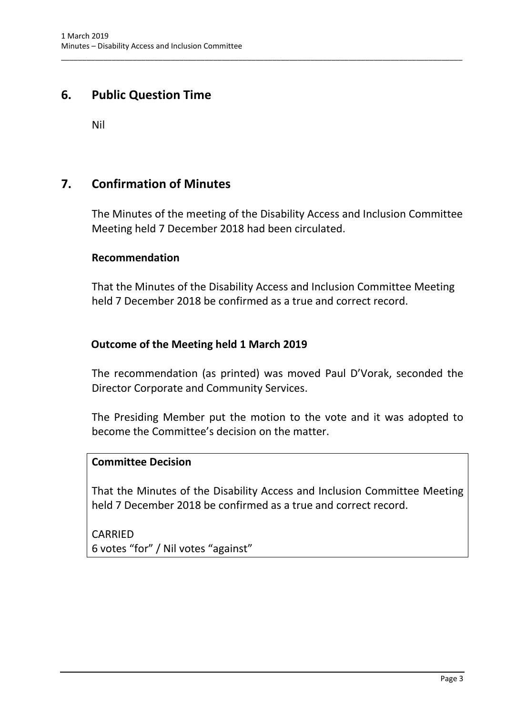# <span id="page-4-0"></span>**6. Public Question Time**

Nil

# <span id="page-4-1"></span>**7. Confirmation of Minutes**

The Minutes of the meeting of the Disability Access and Inclusion Committee Meeting held 7 December 2018 had been circulated.

\_\_\_\_\_\_\_\_\_\_\_\_\_\_\_\_\_\_\_\_\_\_\_\_\_\_\_\_\_\_\_\_\_\_\_\_\_\_\_\_\_\_\_\_\_\_\_\_\_\_\_\_\_\_\_\_\_\_\_\_\_\_\_\_\_\_\_\_\_\_\_\_\_\_\_\_\_\_\_\_\_\_\_\_\_\_\_\_\_\_\_\_\_\_\_

#### **Recommendation**

That the Minutes of the Disability Access and Inclusion Committee Meeting held 7 December 2018 be confirmed as a true and correct record.

### **Outcome of the Meeting held 1 March 2019**

The recommendation (as printed) was moved Paul D'Vorak, seconded the Director Corporate and Community Services.

The Presiding Member put the motion to the vote and it was adopted to become the Committee's decision on the matter.

### **Committee Decision**

That the Minutes of the Disability Access and Inclusion Committee Meeting held 7 December 2018 be confirmed as a true and correct record.

CARRIED 6 votes "for" / Nil votes "against"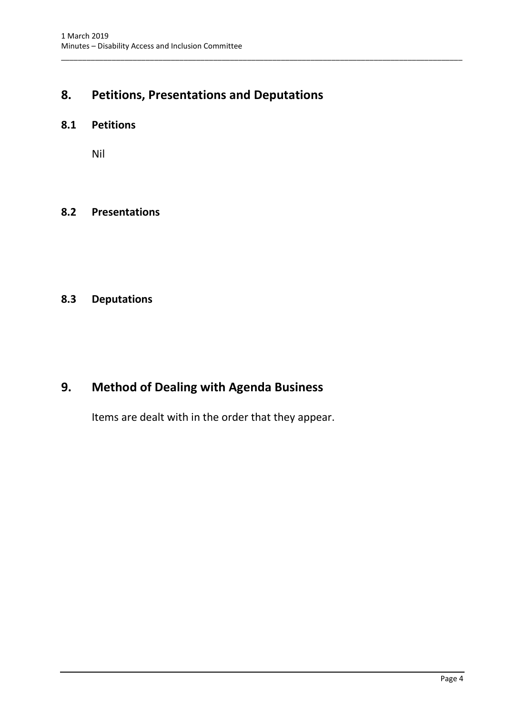# <span id="page-5-0"></span>**8. Petitions, Presentations and Deputations**

\_\_\_\_\_\_\_\_\_\_\_\_\_\_\_\_\_\_\_\_\_\_\_\_\_\_\_\_\_\_\_\_\_\_\_\_\_\_\_\_\_\_\_\_\_\_\_\_\_\_\_\_\_\_\_\_\_\_\_\_\_\_\_\_\_\_\_\_\_\_\_\_\_\_\_\_\_\_\_\_\_\_\_\_\_\_\_\_\_\_\_\_\_\_\_

#### <span id="page-5-1"></span>**8.1 Petitions**

Nil

#### <span id="page-5-2"></span>**8.2 Presentations**

# <span id="page-5-3"></span>**8.3 Deputations**

# <span id="page-5-4"></span>**9. Method of Dealing with Agenda Business**

Items are dealt with in the order that they appear.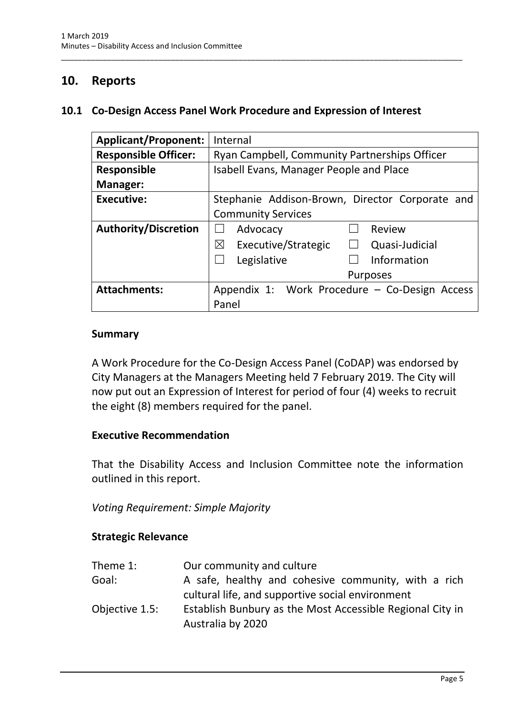# <span id="page-6-0"></span>**10. Reports**

#### <span id="page-6-1"></span>**10.1 Co-Design Access Panel Work Procedure and Expression of Interest**

\_\_\_\_\_\_\_\_\_\_\_\_\_\_\_\_\_\_\_\_\_\_\_\_\_\_\_\_\_\_\_\_\_\_\_\_\_\_\_\_\_\_\_\_\_\_\_\_\_\_\_\_\_\_\_\_\_\_\_\_\_\_\_\_\_\_\_\_\_\_\_\_\_\_\_\_\_\_\_\_\_\_\_\_\_\_\_\_\_\_\_\_\_\_\_

| <b>Applicant/Proponent:</b> | Internal                                             |  |  |
|-----------------------------|------------------------------------------------------|--|--|
| <b>Responsible Officer:</b> | Ryan Campbell, Community Partnerships Officer        |  |  |
| <b>Responsible</b>          | <b>Isabell Evans, Manager People and Place</b>       |  |  |
| Manager:                    |                                                      |  |  |
| <b>Executive:</b>           | Stephanie Addison-Brown, Director Corporate and      |  |  |
|                             | <b>Community Services</b>                            |  |  |
| <b>Authority/Discretion</b> | Review<br>Advocacy                                   |  |  |
|                             | Executive/Strategic<br>⊠<br>Quasi-Judicial<br>$\Box$ |  |  |
|                             | Information<br>Legislative                           |  |  |
|                             | <b>Purposes</b>                                      |  |  |
| <b>Attachments:</b>         | Appendix 1: Work Procedure - Co-Design Access        |  |  |
|                             | Panel                                                |  |  |

#### **Summary**

A Work Procedure for the Co-Design Access Panel (CoDAP) was endorsed by City Managers at the Managers Meeting held 7 February 2019. The City will now put out an Expression of Interest for period of four (4) weeks to recruit the eight (8) members required for the panel.

#### **Executive Recommendation**

That the Disability Access and Inclusion Committee note the information outlined in this report.

*Voting Requirement: Simple Majority* 

#### **Strategic Relevance**

| Theme 1:       | Our community and culture                                 |
|----------------|-----------------------------------------------------------|
| Goal:          | A safe, healthy and cohesive community, with a rich       |
|                | cultural life, and supportive social environment          |
| Objective 1.5: | Establish Bunbury as the Most Accessible Regional City in |
|                | Australia by 2020                                         |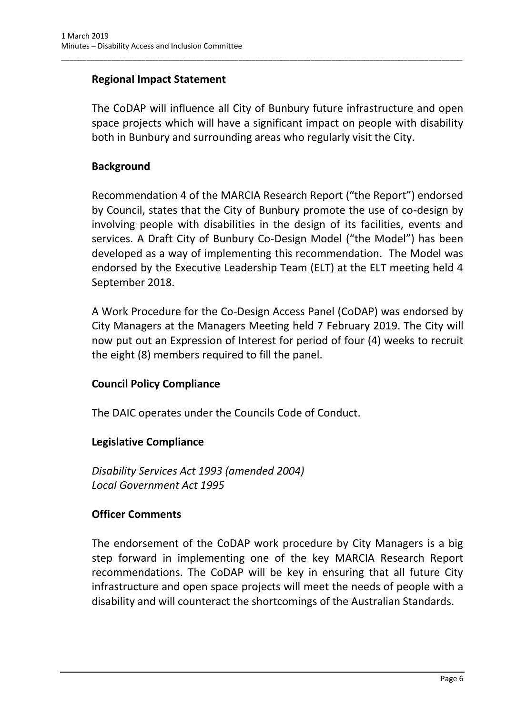### **Regional Impact Statement**

The CoDAP will influence all City of Bunbury future infrastructure and open space projects which will have a significant impact on people with disability both in Bunbury and surrounding areas who regularly visit the City.

\_\_\_\_\_\_\_\_\_\_\_\_\_\_\_\_\_\_\_\_\_\_\_\_\_\_\_\_\_\_\_\_\_\_\_\_\_\_\_\_\_\_\_\_\_\_\_\_\_\_\_\_\_\_\_\_\_\_\_\_\_\_\_\_\_\_\_\_\_\_\_\_\_\_\_\_\_\_\_\_\_\_\_\_\_\_\_\_\_\_\_\_\_\_\_

### **Background**

Recommendation 4 of the MARCIA Research Report ("the Report") endorsed by Council, states that the City of Bunbury promote the use of co-design by involving people with disabilities in the design of its facilities, events and services. A Draft City of Bunbury Co-Design Model ("the Model") has been developed as a way of implementing this recommendation. The Model was endorsed by the Executive Leadership Team (ELT) at the ELT meeting held 4 September 2018.

A Work Procedure for the Co-Design Access Panel (CoDAP) was endorsed by City Managers at the Managers Meeting held 7 February 2019. The City will now put out an Expression of Interest for period of four (4) weeks to recruit the eight (8) members required to fill the panel.

### **Council Policy Compliance**

The DAIC operates under the Councils Code of Conduct.

# **Legislative Compliance**

*Disability Services Act 1993 (amended 2004) Local Government Act 1995*

### **Officer Comments**

The endorsement of the CoDAP work procedure by City Managers is a big step forward in implementing one of the key MARCIA Research Report recommendations. The CoDAP will be key in ensuring that all future City infrastructure and open space projects will meet the needs of people with a disability and will counteract the shortcomings of the Australian Standards.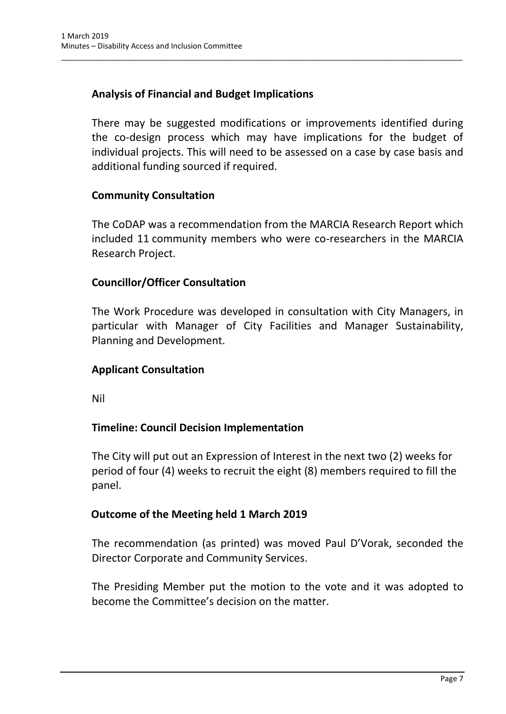# **Analysis of Financial and Budget Implications**

There may be suggested modifications or improvements identified during the co-design process which may have implications for the budget of individual projects. This will need to be assessed on a case by case basis and additional funding sourced if required.

\_\_\_\_\_\_\_\_\_\_\_\_\_\_\_\_\_\_\_\_\_\_\_\_\_\_\_\_\_\_\_\_\_\_\_\_\_\_\_\_\_\_\_\_\_\_\_\_\_\_\_\_\_\_\_\_\_\_\_\_\_\_\_\_\_\_\_\_\_\_\_\_\_\_\_\_\_\_\_\_\_\_\_\_\_\_\_\_\_\_\_\_\_\_\_

### **Community Consultation**

The CoDAP was a recommendation from the MARCIA Research Report which included 11 community members who were co-researchers in the MARCIA Research Project.

### **Councillor/Officer Consultation**

The Work Procedure was developed in consultation with City Managers, in particular with Manager of City Facilities and Manager Sustainability, Planning and Development.

### **Applicant Consultation**

Nil

### **Timeline: Council Decision Implementation**

The City will put out an Expression of Interest in the next two (2) weeks for period of four (4) weeks to recruit the eight (8) members required to fill the panel.

### **Outcome of the Meeting held 1 March 2019**

The recommendation (as printed) was moved Paul D'Vorak, seconded the Director Corporate and Community Services.

The Presiding Member put the motion to the vote and it was adopted to become the Committee's decision on the matter.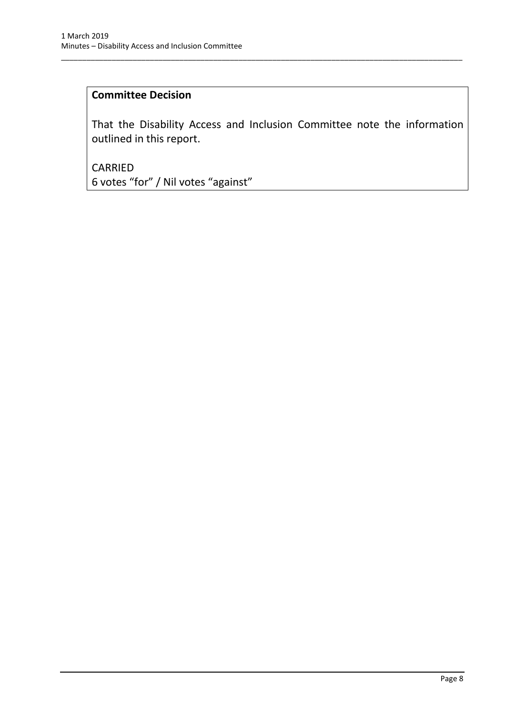#### **Committee Decision**

That the Disability Access and Inclusion Committee note the information outlined in this report.

\_\_\_\_\_\_\_\_\_\_\_\_\_\_\_\_\_\_\_\_\_\_\_\_\_\_\_\_\_\_\_\_\_\_\_\_\_\_\_\_\_\_\_\_\_\_\_\_\_\_\_\_\_\_\_\_\_\_\_\_\_\_\_\_\_\_\_\_\_\_\_\_\_\_\_\_\_\_\_\_\_\_\_\_\_\_\_\_\_\_\_\_\_\_\_

CARRIED 6 votes "for" / Nil votes "against"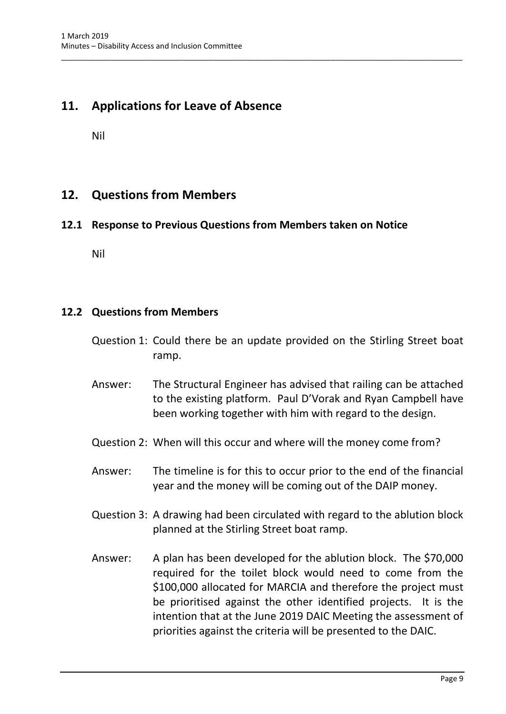# <span id="page-10-0"></span>**11. Applications for Leave of Absence**

Nil

# <span id="page-10-1"></span>**12. Questions from Members**

### <span id="page-10-2"></span>**12.1 Response to Previous Questions from Members taken on Notice**

\_\_\_\_\_\_\_\_\_\_\_\_\_\_\_\_\_\_\_\_\_\_\_\_\_\_\_\_\_\_\_\_\_\_\_\_\_\_\_\_\_\_\_\_\_\_\_\_\_\_\_\_\_\_\_\_\_\_\_\_\_\_\_\_\_\_\_\_\_\_\_\_\_\_\_\_\_\_\_\_\_\_\_\_\_\_\_\_\_\_\_\_\_\_\_

Nil

#### <span id="page-10-3"></span>**12.2 Questions from Members**

- Question 1: Could there be an update provided on the Stirling Street boat ramp.
- Answer: The Structural Engineer has advised that railing can be attached to the existing platform. Paul D'Vorak and Ryan Campbell have been working together with him with regard to the design.
- Question 2: When will this occur and where will the money come from?
- Answer: The timeline is for this to occur prior to the end of the financial year and the money will be coming out of the DAIP money.
- Question 3: A drawing had been circulated with regard to the ablution block planned at the Stirling Street boat ramp.
- Answer: A plan has been developed for the ablution block. The \$70,000 required for the toilet block would need to come from the \$100,000 allocated for MARCIA and therefore the project must be prioritised against the other identified projects. It is the intention that at the June 2019 DAIC Meeting the assessment of priorities against the criteria will be presented to the DAIC.